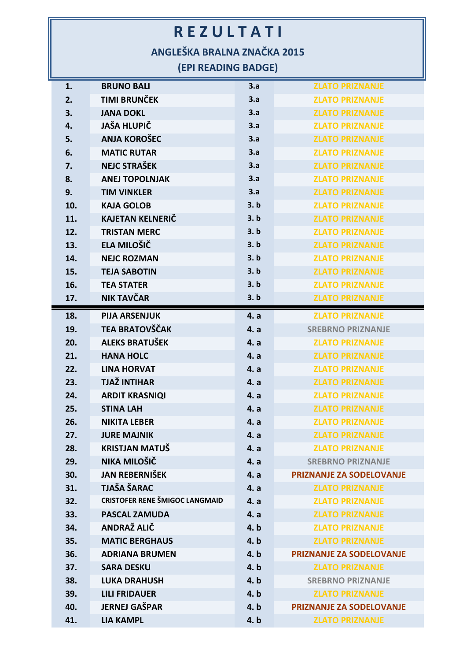## **R E Z U L T A T I**

**ANGLEŠKA BRALNA ZNAČKA 2015**

**(EPI READING BADGE)**

| 1.  | <b>BRUNO BALI</b>                     | 3.a  | <b>ZLATO PRIZNANJE</b>          |
|-----|---------------------------------------|------|---------------------------------|
| 2.  | <b>TIMI BRUNČEK</b>                   | 3.a  | <b>ZLATO PRIZNANJE</b>          |
| 3.  | <b>JANA DOKL</b>                      | 3.a  | <b>ZLATO PRIZNANJE</b>          |
| 4.  | <b>JAŠA HLUPIČ</b>                    | 3.a  | <b>ZLATO PRIZNANJE</b>          |
| 5.  | <b>ANJA KOROŠEC</b>                   | 3.a  | <b>ZLATO PRIZNANJE</b>          |
| 6.  | <b>MATIC RUTAR</b>                    | 3.a  | <b>ZLATO PRIZNANJE</b>          |
| 7.  | <b>NEJC STRAŠEK</b>                   | 3.a  | <b>ZLATO PRIZNANJE</b>          |
| 8.  | <b>ANEJ TOPOLNJAK</b>                 | 3.a  | <b>ZLATO PRIZNANJE</b>          |
| 9.  | <b>TIM VINKLER</b>                    | 3.a  | <b>ZLATO PRIZNANJE</b>          |
| 10. | <b>KAJA GOLOB</b>                     | 3. b | <b>ZLATO PRIZNANJE</b>          |
| 11. | <b>KAJETAN KELNERIČ</b>               | 3. b | <b>ZLATO PRIZNANJE</b>          |
| 12. | <b>TRISTAN MERC</b>                   | 3. b | <b>ZLATO PRIZNANJE</b>          |
| 13. | ELA MILOŠIČ                           | 3. b | <b>ZLATO PRIZNANJE</b>          |
| 14. | <b>NEJC ROZMAN</b>                    | 3. b | <b>ZLATO PRIZNANJE</b>          |
| 15. | <b>TEJA SABOTIN</b>                   | 3. b | <b>ZLATO PRIZNANJE</b>          |
| 16. | <b>TEA STATER</b>                     | 3. b | <b>ZLATO PRIZNANJE</b>          |
| 17. | NIK TAVČAR                            | 3. b | <b>ZLATO PRIZNANJE</b>          |
| 18. | <b>PIJA ARSENJUK</b>                  | 4. a | <b>ZLATO PRIZNANJE</b>          |
| 19. | <b>TEA BRATOVŠČAK</b>                 | 4. a | <b>SREBRNO PRIZNANJE</b>        |
| 20. | <b>ALEKS BRATUŠEK</b>                 | 4. a | <b>ZLATO PRIZNANJE</b>          |
| 21. | <b>HANA HOLC</b>                      | 4. a | <b>ZLATO PRIZNANJE</b>          |
| 22. | <b>LINA HORVAT</b>                    | 4. a | <b>ZLATO PRIZNANJE</b>          |
| 23. | <b>TJAŽ INTIHAR</b>                   | 4. a | <b>ZLATO PRIZNANJE</b>          |
| 24. | <b>ARDIT KRASNIQI</b>                 | 4. a | <b>ZLATO PRIZNANJE</b>          |
| 25. | <b>STINA LAH</b>                      | 4. a | <b>ZLATO PRIZNANJE</b>          |
| 26. | <b>NIKITA LEBER</b>                   | 4. a | <b>ZLATO PRIZNANJE</b>          |
| 27. | <b>JURE MAJNIK</b>                    | 4. a | <b>ZLATO PRIZNANJE</b>          |
| 28. | <b>KRISTJAN MATUŠ</b>                 | 4. a | <b>ZLATO PRIZNANJE</b>          |
| 29. | NIKA MILOŠIČ                          | 4. a | <b>SREBRNO PRIZNANJE</b>        |
| 30. | <b>JAN REBERNIŠEK</b>                 | 4. a | <b>PRIZNANJE ZA SODELOVANJE</b> |
| 31. | <b>TJAŠA ŠARAC</b>                    | 4. a | <b>ZLATO PRIZNANJE</b>          |
| 32. | <b>CRISTOFER RENE ŠMIGOC LANGMAID</b> | 4. a | <b>ZLATO PRIZNANJE</b>          |
| 33. | <b>PASCAL ZAMUDA</b>                  | 4. a | <b>ZLATO PRIZNANJE</b>          |
| 34. | ANDRAŽ ALIČ                           | 4. b | <b>ZLATO PRIZNANJE</b>          |
| 35. | <b>MATIC BERGHAUS</b>                 | 4. b | <b>ZLATO PRIZNANJE</b>          |
| 36. | <b>ADRIANA BRUMEN</b>                 | 4.b  | <b>PRIZNANJE ZA SODELOVANJE</b> |
| 37. | <b>SARA DESKU</b>                     | 4. b | <b>ZLATO PRIZNANJE</b>          |
| 38. | <b>LUKA DRAHUSH</b>                   | 4.b  | <b>SREBRNO PRIZNANJE</b>        |
| 39. | <b>LILI FRIDAUER</b>                  | 4. b | <b>ZLATO PRIZNANJE</b>          |
| 40. | <b>JERNEJ GAŠPAR</b>                  | 4. b | <b>PRIZNANJE ZA SODELOVANJE</b> |
| 41. | <b>LIA KAMPL</b>                      | 4. b | <b>ZLATO PRIZNANJE</b>          |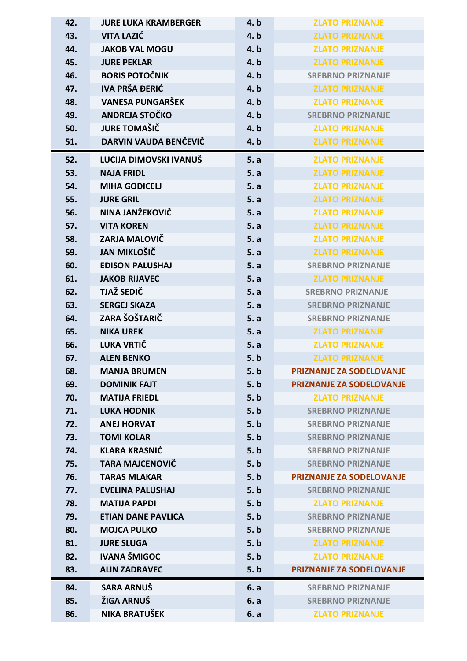| 42. | <b>JURE LUKA KRAMBERGER</b> | 4.b  | <b>ZLATO PRIZNANJE</b>          |
|-----|-----------------------------|------|---------------------------------|
| 43. | <b>VITA LAZIĆ</b>           | 4. b | <b>ZLATO PRIZNANJE</b>          |
| 44. | <b>JAKOB VAL MOGU</b>       | 4.b  | <b>ZLATO PRIZNANJE</b>          |
| 45. | <b>JURE PEKLAR</b>          | 4. b | <b>ZLATO PRIZNANJE</b>          |
| 46. | <b>BORIS POTOČNIK</b>       | 4. b | <b>SREBRNO PRIZNANJE</b>        |
| 47. | <b>IVA PRŠA ĐERIĆ</b>       | 4. b | <b>ZLATO PRIZNANJE</b>          |
| 48. | <b>VANESA PUNGARŠEK</b>     | 4.b  | <b>ZLATO PRIZNANJE</b>          |
| 49. | ANDREJA STOČKO              | 4.b  | <b>SREBRNO PRIZNANJE</b>        |
| 50. | <b>JURE TOMAŠIČ</b>         | 4. b | <b>ZLATO PRIZNANJE</b>          |
| 51. | DARVIN VAUDA BENČEVIČ       | 4.b  | <b>ZLATO PRIZNANJE</b>          |
| 52. | LUCIJA DIMOVSKI IVANUŠ      | 5. a | <b>ZLATO PRIZNANJE</b>          |
| 53. | <b>NAJA FRIDL</b>           | 5. a | <b>ZLATO PRIZNANJE</b>          |
| 54. | <b>MIHA GODICELJ</b>        | 5. a | <b>ZLATO PRIZNANJE</b>          |
| 55. | <b>JURE GRIL</b>            | 5. a | <b>ZLATO PRIZNANJE</b>          |
| 56. | NINA JANŽEKOVIČ             | 5. a | <b>ZLATO PRIZNANJE</b>          |
| 57. | <b>VITA KOREN</b>           | 5. a | <b>ZLATO PRIZNANJE</b>          |
| 58. | ZARJA MALOVIČ               | 5. a | <b>ZLATO PRIZNANJE</b>          |
| 59. | <b>JAN MIKLOŠIČ</b>         | 5. a | <b>ZLATO PRIZNANJE</b>          |
| 60. | <b>EDISON PALUSHAJ</b>      | 5. a | <b>SREBRNO PRIZNANJE</b>        |
| 61. | <b>JAKOB RIJAVEC</b>        | 5. a | <b>ZLATO PRIZNANJE</b>          |
| 62. | TJAŽ SEDIČ                  | 5. a | <b>SREBRNO PRIZNANJE</b>        |
| 63. | <b>SERGEJ SKAZA</b>         | 5. a | <b>SREBRNO PRIZNANJE</b>        |
| 64. | ZARA ŠOŠTARIČ               | 5. a | <b>SREBRNO PRIZNANJE</b>        |
| 65. | <b>NIKA UREK</b>            | 5. a | <b>ZLATO PRIZNANJE</b>          |
|     | LUKA VRTIČ                  | 5. a | <b>ZLATO PRIZNANJE</b>          |
| 66. |                             |      |                                 |
| 67. | <b>ALEN BENKO</b>           | 5. b | <b>ZLATO PRIZNANJE</b>          |
| 68. | <b>MANJA BRUMEN</b>         | 5. b | <b>PRIZNANJE ZA SODELOVANJE</b> |
| 69. | <b>DOMINIK FAJT</b>         | 5. b | <b>PRIZNANJE ZA SODELOVANJE</b> |
| 70. | <b>MATIJA FRIEDL</b>        | 5. b | <b>ZLATO PRIZNANJE</b>          |
| 71. | <b>LUKA HODNIK</b>          | 5. b | <b>SREBRNO PRIZNANJE</b>        |
| 72. | <b>ANEJ HORVAT</b>          | 5. b | <b>SREBRNO PRIZNANJE</b>        |
| 73. | <b>TOMI KOLAR</b>           | 5. b | <b>SREBRNO PRIZNANJE</b>        |
| 74. | <b>KLARA KRASNIĆ</b>        | 5. b | <b>SREBRNO PRIZNANJE</b>        |
| 75. | <b>TARA MAJCENOVIČ</b>      | 5. b | <b>SREBRNO PRIZNANJE</b>        |
| 76. | <b>TARAS MLAKAR</b>         | 5. b | <b>PRIZNANJE ZA SODELOVANJE</b> |
| 77. | <b>EVELINA PALUSHAJ</b>     | 5. b | <b>SREBRNO PRIZNANJE</b>        |
| 78. | <b>MATIJA PAPDI</b>         | 5. b | <b>ZLATO PRIZNANJE</b>          |
| 79. | <b>ETIAN DANE PAVLICA</b>   | 5. b | <b>SREBRNO PRIZNANJE</b>        |
| 80. | <b>MOJCA PULKO</b>          | 5. b | <b>SREBRNO PRIZNANJE</b>        |
| 81. | <b>JURE SLUGA</b>           | 5. b | <b>ZLATO PRIZNANJE</b>          |
| 82. | <b>IVANA ŠMIGOC</b>         | 5. b | <b>ZLATO PRIZNANJE</b>          |
| 83. | <b>ALIN ZADRAVEC</b>        | 5. b | <b>PRIZNANJE ZA SODELOVANJE</b> |
| 84. | SARA ARNUŠ                  | 6. a | <b>SREBRNO PRIZNANJE</b>        |
| 85. | ŽIGA ARNUŠ                  | 6. a | <b>SREBRNO PRIZNANJE</b>        |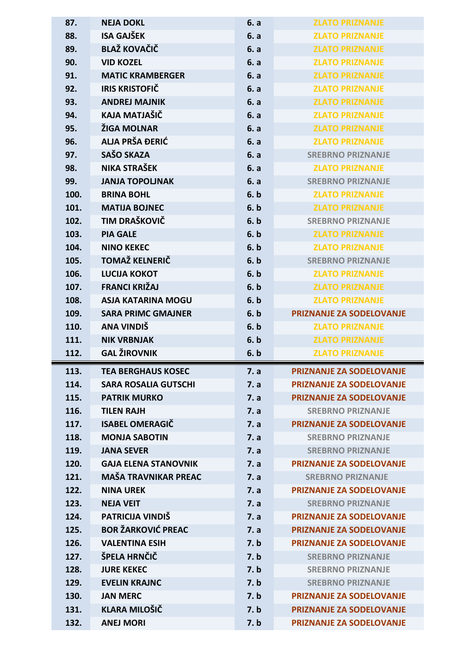| 87.          | <b>NEJA DOKL</b>                         | 6. a         | <b>ZLATO PRIZNANJE</b>                                             |
|--------------|------------------------------------------|--------------|--------------------------------------------------------------------|
| 88.          | <b>ISA GAJŠEK</b>                        | 6. a         | <b>ZLATO PRIZNANJE</b>                                             |
| 89.          | <b>BLAŽ KOVAČIČ</b>                      | 6. a         | <b>ZLATO PRIZNANJE</b>                                             |
| 90.          | <b>VID KOZEL</b>                         | 6. a         | <b>ZLATO PRIZNANJE</b>                                             |
| 91.          | <b>MATIC KRAMBERGER</b>                  | 6. a         | <b>ZLATO PRIZNANJE</b>                                             |
| 92.          | <b>IRIS KRISTOFIČ</b>                    | 6. a         | <b>ZLATO PRIZNANJE</b>                                             |
| 93.          | <b>ANDREJ MAJNIK</b>                     | 6. a         | <b>ZLATO PRIZNANJE</b>                                             |
| 94.          | KAJA MATJAŠIČ                            | 6. a         | <b>ZLATO PRIZNANJE</b>                                             |
| 95.          | ŽIGA MOLNAR                              | 6. a         | <b>ZLATO PRIZNANJE</b>                                             |
| 96.          | ALJA PRŠA ĐERIĆ                          | 6. a         | <b>ZLATO PRIZNANJE</b>                                             |
| 97.          | SAŠO SKAZA                               | 6. a         | <b>SREBRNO PRIZNANJE</b>                                           |
| 98.          | NIKA STRAŠEK                             | 6. a         | <b>ZLATO PRIZNANJE</b>                                             |
| 99.          | <b>JANJA TOPOLJNAK</b>                   | 6. a         | <b>SREBRNO PRIZNANJE</b>                                           |
| 100.         | <b>BRINA BOHL</b>                        | 6. b         | <b>ZLATO PRIZNANJE</b>                                             |
| 101.         | <b>MATIJA BOJNEC</b>                     | 6. b         | <b>ZLATO PRIZNANJE</b>                                             |
| 102.         | TIM DRAŠKOVIČ                            | 6. b         | <b>SREBRNO PRIZNANJE</b>                                           |
| 103.         | <b>PIA GALE</b>                          | 6. b         | <b>ZLATO PRIZNANJE</b>                                             |
| 104.         | <b>NINO KEKEC</b>                        | 6. b         | <b>ZLATO PRIZNANJE</b>                                             |
| 105.         | <b>TOMAŽ KELNERIČ</b>                    | 6. b         | <b>SREBRNO PRIZNANJE</b>                                           |
| 106.         | <b>LUCIJA KOKOT</b>                      | 6. b         | <b>ZLATO PRIZNANJE</b>                                             |
| 107.         | <b>FRANCI KRIŽAJ</b>                     | 6. b         | <b>ZLATO PRIZNANJE</b>                                             |
| 108.         | <b>ASJA KATARINA MOGU</b>                | 6. b         | <b>ZLATO PRIZNANJE</b>                                             |
| 109.         | <b>SARA PRIMC GMAJNER</b>                | 6. b         | <b>PRIZNANJE ZA SODELOVANJE</b>                                    |
|              |                                          |              |                                                                    |
| 110.         | ANA VINDIŠ                               | 6. b         | <b>ZLATO PRIZNANJE</b>                                             |
| 111.         | <b>NIK VRBNJAK</b>                       | 6. b         | <b>ZLATO PRIZNANJE</b>                                             |
| 112.         | <b>GAL ŽIROVNIK</b>                      | 6. b         | <b>ZLATO PRIZNANJE</b>                                             |
| 113.         | <b>TEA BERGHAUS KOSEC</b>                | 7. a         | PRIZNANJE ZA SODELOVANJE                                           |
| 114.         | <b>SARA ROSALIA GUTSCHI</b>              | 7. a         | <b>PRIZNANJE ZA SODELOVANJE</b>                                    |
| 115.         | <b>PATRIK MURKO</b>                      | 7. a         | <b>PRIZNANJE ZA SODELOVANJE</b>                                    |
| 116.         | <b>TILEN RAJH</b>                        | 7. a         | <b>SREBRNO PRIZNANJE</b>                                           |
| 117.         | <b>ISABEL OMERAGIČ</b>                   | 7. a         | <b>PRIZNANJE ZA SODELOVANJE</b>                                    |
| 118.         | <b>MONJA SABOTIN</b>                     | 7. a         | <b>SREBRNO PRIZNANJE</b>                                           |
| 119.         | <b>JANA SEVER</b>                        | 7. a         | <b>SREBRNO PRIZNANJE</b>                                           |
| 120.         | <b>GAJA ELENA STANOVNIK</b>              | 7. a         | <b>PRIZNANJE ZA SODELOVANJE</b>                                    |
| 121.         | <b>MAŠA TRAVNIKAR PREAC</b>              | 7. a         | <b>SREBRNO PRIZNANJE</b>                                           |
| 122.         | <b>NINA UREK</b>                         | 7. a         | <b>PRIZNANJE ZA SODELOVANJE</b>                                    |
| 123.         | <b>NEJA VEIT</b>                         | 7. a         | <b>SREBRNO PRIZNANJE</b>                                           |
| 124.         | PATRICIJA VINDIŠ                         | 7. a         | <b>PRIZNANJE ZA SODELOVANJE</b>                                    |
| 125.         | <b>BOR ŽARKOVIĆ PREAC</b>                | 7. a         | <b>PRIZNANJE ZA SODELOVANJE</b>                                    |
| 126.         | <b>VALENTINA ESIH</b>                    | 7. b         | <b>PRIZNANJE ZA SODELOVANJE</b>                                    |
| 127.         | ŠPELA HRNČIČ                             | 7. b         | <b>SREBRNO PRIZNANJE</b>                                           |
| 128.         | <b>JURE KEKEC</b>                        | 7. b         | <b>SREBRNO PRIZNANJE</b>                                           |
| 129.         | <b>EVELIN KRAJNC</b>                     | 7. b         | <b>SREBRNO PRIZNANJE</b>                                           |
| 130.         | <b>JAN MERC</b>                          | 7. b         | <b>PRIZNANJE ZA SODELOVANJE</b>                                    |
| 131.<br>132. | <b>KLARA MILOŠIČ</b><br><b>ANEJ MORI</b> | 7. b<br>7. b | <b>PRIZNANJE ZA SODELOVANJE</b><br><b>PRIZNANJE ZA SODELOVANJE</b> |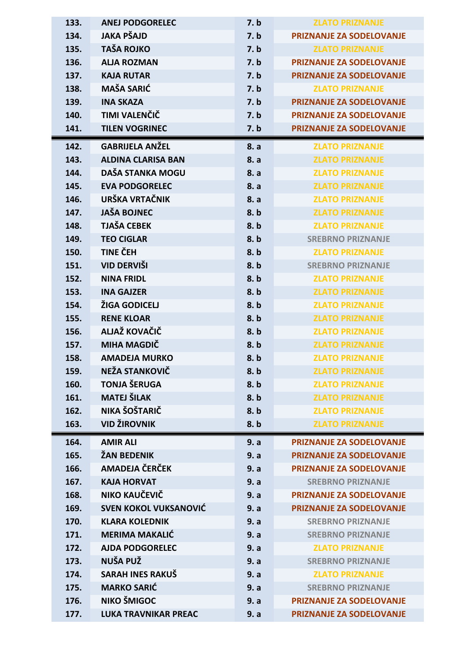| 133. | <b>ANEJ PODGORELEC</b>       | 7. b | <b>ZLATO PRIZNANJE</b>          |
|------|------------------------------|------|---------------------------------|
| 134. | <b>JAKA PŠAJD</b>            | 7. b | PRIZNANJE ZA SODELOVANJE        |
| 135. | <b>TAŠA ROJKO</b>            | 7. b | <b>ZLATO PRIZNANJE</b>          |
| 136. | <b>ALJA ROZMAN</b>           | 7. b | <b>PRIZNANJE ZA SODELOVANJE</b> |
| 137. | <b>KAJA RUTAR</b>            | 7. b | <b>PRIZNANJE ZA SODELOVANJE</b> |
| 138. | <b>MAŠA SARIĆ</b>            | 7. b | <b>ZLATO PRIZNANJE</b>          |
| 139. | <b>INA SKAZA</b>             | 7. b | <b>PRIZNANJE ZA SODELOVANJE</b> |
| 140. | TIMI VALENČIČ                | 7. b | <b>PRIZNANJE ZA SODELOVANJE</b> |
| 141. | <b>TILEN VOGRINEC</b>        | 7. b | <b>PRIZNANJE ZA SODELOVANJE</b> |
| 142. | <b>GABRIJELA ANŽEL</b>       | 8. a | <b>ZLATO PRIZNANJE</b>          |
| 143. | <b>ALDINA CLARISA BAN</b>    | 8. a | <b>ZLATO PRIZNANJE</b>          |
| 144. | DAŠA STANKA MOGU             | 8. a | <b>ZLATO PRIZNANJE</b>          |
| 145. | <b>EVA PODGORELEC</b>        | 8. a | <b>ZLATO PRIZNANJE</b>          |
| 146. | URŠKA VRTAČNIK               | 8. a | <b>ZLATO PRIZNANJE</b>          |
| 147. | <b>JAŠA BOJNEC</b>           | 8.b  | <b>ZLATO PRIZNANJE</b>          |
| 148. | <b>TJAŠA CEBEK</b>           | 8.b  | <b>ZLATO PRIZNANJE</b>          |
| 149. | <b>TEO CIGLAR</b>            | 8.b  | <b>SREBRNO PRIZNANJE</b>        |
| 150. | <b>TINE ČEH</b>              | 8.b  | <b>ZLATO PRIZNANJE</b>          |
| 151. | VID DERVIŠI                  | 8.b  | <b>SREBRNO PRIZNANJE</b>        |
| 152. | <b>NINA FRIDL</b>            | 8.b  | <b>ZLATO PRIZNANJE</b>          |
| 153. | <b>INA GAJZER</b>            | 8.b  | <b>ZLATO PRIZNANJE</b>          |
| 154. | ŽIGA GODICELJ                | 8.b  | <b>ZLATO PRIZNANJE</b>          |
| 155. | <b>RENE KLOAR</b>            | 8.b  | <b>ZLATO PRIZNANJE</b>          |
| 156. | ALJAŽ KOVAČIČ                | 8.b  | <b>ZLATO PRIZNANJE</b>          |
| 157. | <b>MIHA MAGDIČ</b>           | 8.b  | <b>ZLATO PRIZNANJE</b>          |
| 158. | <b>AMADEJA MURKO</b>         | 8.b  | <b>ZLATO PRIZNANJE</b>          |
| 159. | NEŽA STANKOVIČ               | 8.b  | <b>ZLATO PRIZNANJE</b>          |
| 160. | <b>TONJA ŠERUGA</b>          | 8.b  | <b>ZLATO PRIZNANJE</b>          |
| 161. | <b>MATEJ ŠILAK</b>           | 8.b  | <b>ZLATO PRIZNANJE</b>          |
| 162. | NIKA ŠOŠTARIČ                | 8.b  | <b>ZLATO PRIZNANJE</b>          |
| 163. | <b>VID ŽIROVNIK</b>          | 8.b  | <b>ZLATO PRIZNANJE</b>          |
| 164. | <b>AMIR ALI</b>              | 9. a | <b>PRIZNANJE ZA SODELOVANJE</b> |
| 165. | <b>ŽAN BEDENIK</b>           | 9. a | <b>PRIZNANJE ZA SODELOVANJE</b> |
| 166. | AMADEJA ČERČEK               | 9. a | <b>PRIZNANJE ZA SODELOVANJE</b> |
| 167. | <b>KAJA HORVAT</b>           | 9. a | <b>SREBRNO PRIZNANJE</b>        |
| 168. | NIKO KAUČEVIČ                | 9. a | <b>PRIZNANJE ZA SODELOVANJE</b> |
| 169. | <b>SVEN KOKOL VUKSANOVIĆ</b> | 9. a | <b>PRIZNANJE ZA SODELOVANJE</b> |
| 170. | <b>KLARA KOLEDNIK</b>        | 9. a | <b>SREBRNO PRIZNANJE</b>        |
| 171. | <b>MERIMA MAKALIĆ</b>        | 9. a | <b>SREBRNO PRIZNANJE</b>        |
| 172. | <b>AJDA PODGORELEC</b>       | 9. a | <b>ZLATO PRIZNANJE</b>          |
| 173. | NUŠA PUŽ                     | 9. a | <b>SREBRNO PRIZNANJE</b>        |
| 174. | <b>SARAH INES RAKUŠ</b>      | 9. a | <b>ZLATO PRIZNANJE</b>          |
| 175. | <b>MARKO SARIĆ</b>           | 9. a | <b>SREBRNO PRIZNANJE</b>        |
| 176. | NIKO ŠMIGOC                  | 9. a | PRIZNANJE ZA SODELOVANJE        |
| 177. | <b>LUKA TRAVNIKAR PREAC</b>  | 9. a | PRIZNANJE ZA SODELOVANJE        |